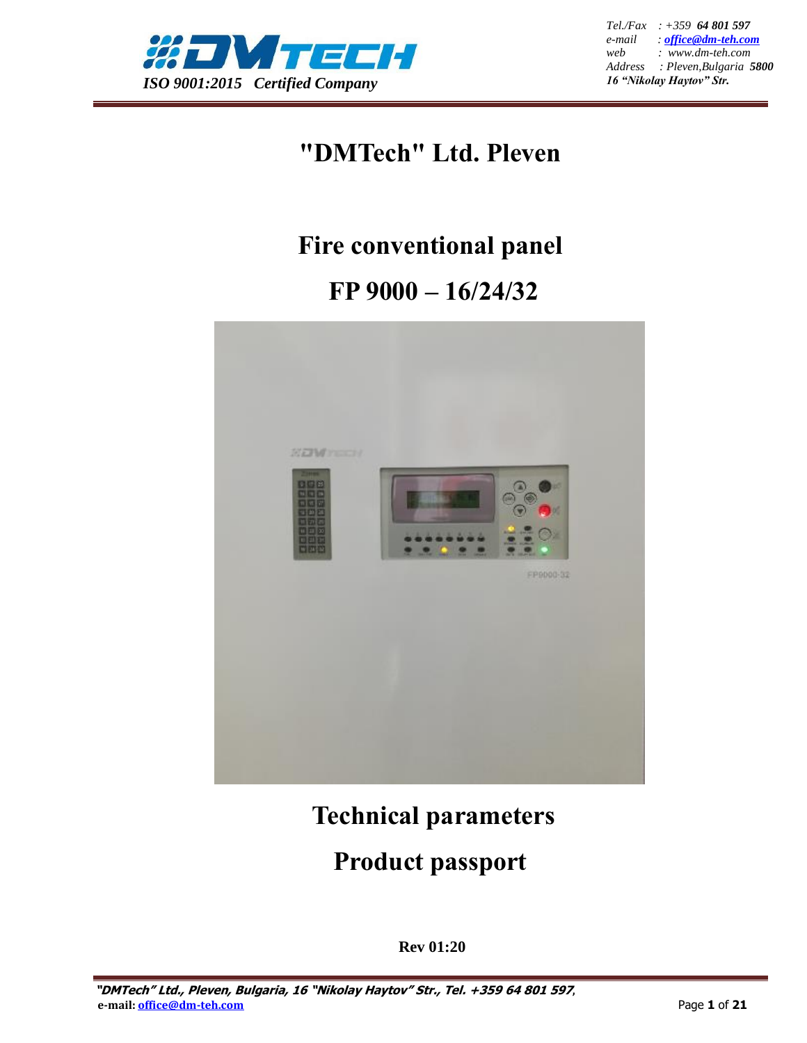

*Tel./Fax : +359 64 801 597 e-mail : [office@dm-teh.com](mailto:office@dm-teh.com) web : www.dm-teh.com Address : Pleven,Bulgaria 5800 16 "Nikolay Haytov" Str.*

## **"DMTech" Ltd. Pleven**

## **Fire conventional panel**

# **FP 9000 – 16/24/32**



## **Technical parameters**

## **Product passport**

**Rev 01:20**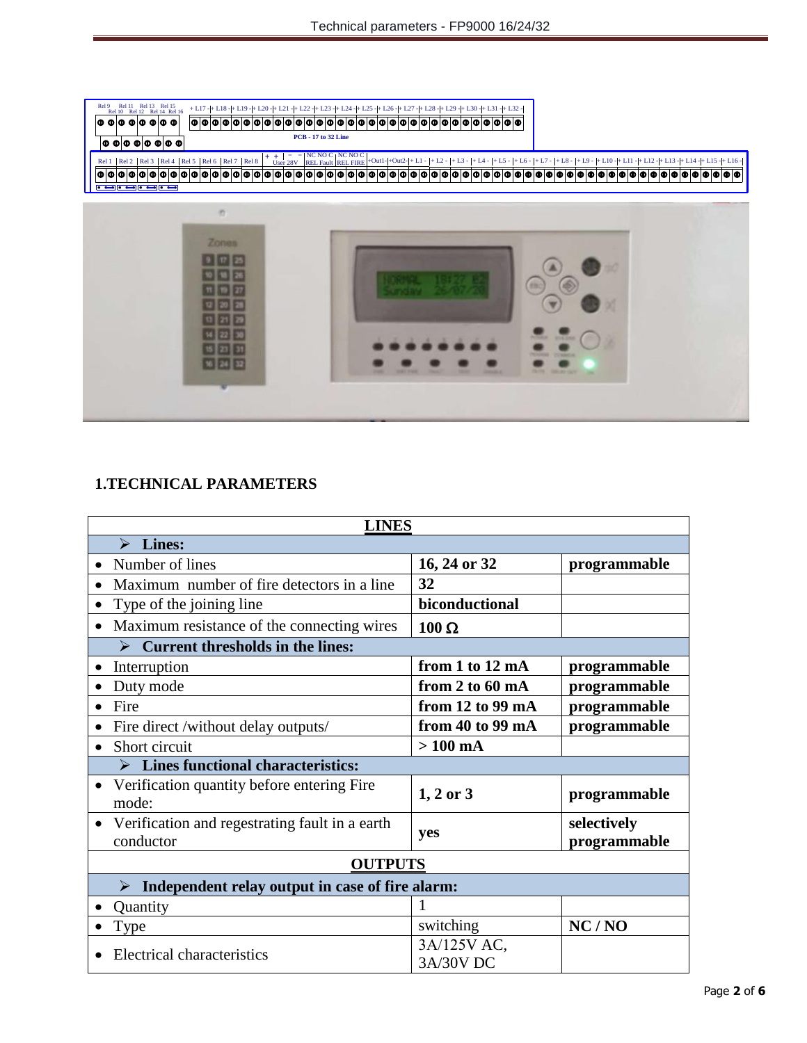Rel 16 + L17 - + L18 - + L19 - + L20 - + L21 - + L22 - + L23 - + L24 - + L25 - + L26 - + L27 - + L28 - + L29 - + L30 - + L31 - + L32 - **PCB - 17 to 32 Line**

| <b>Zones</b> |                             |                                                                 |  |
|--------------|-----------------------------|-----------------------------------------------------------------|--|
|              |                             |                                                                 |  |
|              |                             |                                                                 |  |
|              |                             |                                                                 |  |
|              |                             |                                                                 |  |
|              | <b><i><u>ROSSER</u></i></b> | <b>BULLION COMPANY</b>                                          |  |
| $24$ 32      |                             | <b>CRAIG A</b><br><b>DUTE</b> , <b>SELKE SAY</b><br><b>Card</b> |  |

## **1.TECHNICAL PARAMETERS**

Rel 9<sub>R</sub>

Rel 10 Rel 11 Rel 12 Rel 13 Rel 14 Rel 15

 $\boxed{ \circ \circ \hspace{-0.95cm} \circ \hspace{-0.95cm} \circ \hspace{-0.95cm} \circ \hspace{-0.95cm} \circ \hspace{-0.95cm} \circ \hspace{-0.95cm} \circ \hspace{-0.95cm} \circ \hspace{-0.95cm} \circ \hspace{-0.95cm} \circ \hspace{-0.95cm} \circ \hspace{-0.95cm} \circ$ 

| <b>LINES</b>                                                     |                          |                             |  |  |  |
|------------------------------------------------------------------|--------------------------|-----------------------------|--|--|--|
| $\triangleright$ Lines:                                          |                          |                             |  |  |  |
| Number of lines<br>$\bullet$                                     | 16, 24 or 32             | programmable                |  |  |  |
| Maximum number of fire detectors in a line                       | 32                       |                             |  |  |  |
| Type of the joining line<br>٠                                    | biconductional           |                             |  |  |  |
| Maximum resistance of the connecting wires<br>$\bullet$          | $100 \Omega$             |                             |  |  |  |
| <b>Current thresholds in the lines:</b><br>$\blacktriangleright$ |                          |                             |  |  |  |
| Interruption                                                     | from 1 to 12 mA          | programmable                |  |  |  |
| Duty mode                                                        | from 2 to 60 mA          | programmable                |  |  |  |
| Fire                                                             | from 12 to 99 mA         | programmable                |  |  |  |
| Fire direct /without delay outputs/                              | from 40 to 99 mA         | programmable                |  |  |  |
| Short circuit<br>$\bullet$                                       | $>100$ mA                |                             |  |  |  |
| <b>Lines functional characteristics:</b>                         |                          |                             |  |  |  |
| Verification quantity before entering Fire<br>mode:              | $1, 2$ or $3$            | programmable                |  |  |  |
| Verification and regestrating fault in a earth<br>conductor      | <b>ves</b>               | selectively<br>programmable |  |  |  |
| <b>OUTPUTS</b>                                                   |                          |                             |  |  |  |
| Independent relay output in case of fire alarm:<br>⋗             |                          |                             |  |  |  |
| Quantity                                                         |                          |                             |  |  |  |
| <b>Type</b>                                                      | switching                | NC/NO                       |  |  |  |
| Electrical characteristics                                       | 3A/125V AC,<br>3A/30V DC |                             |  |  |  |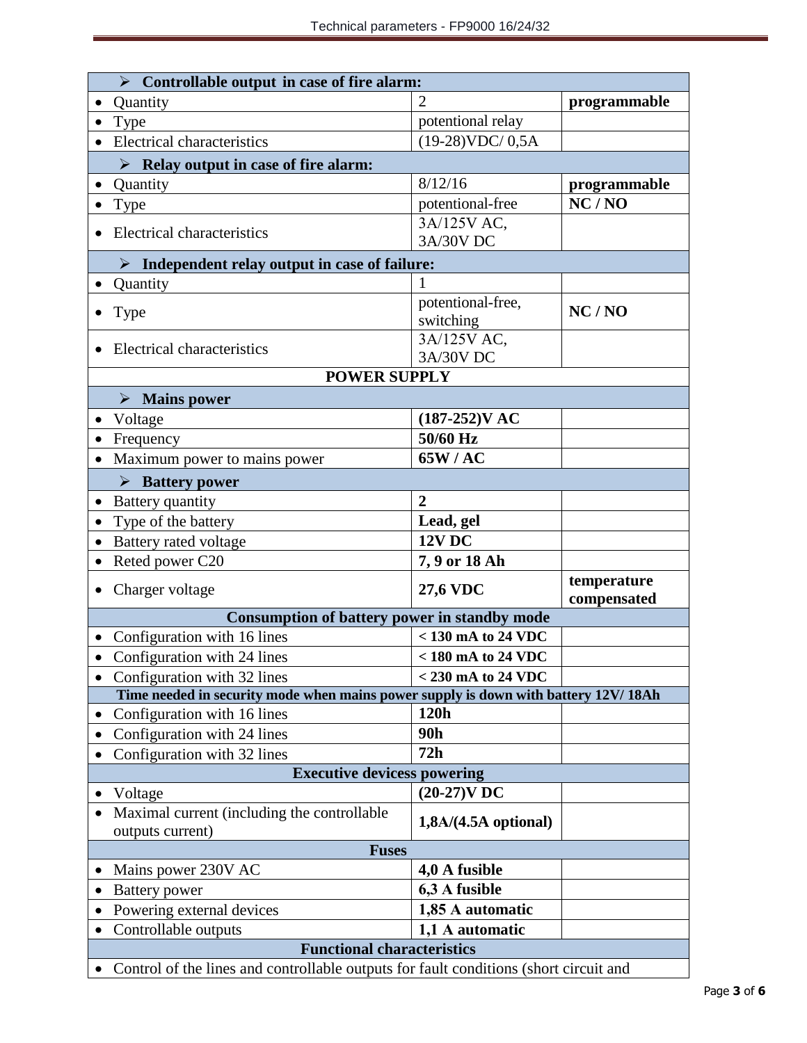| $\triangleright$ Controllable output in case of fire alarm:                           |                                |                            |  |  |  |  |
|---------------------------------------------------------------------------------------|--------------------------------|----------------------------|--|--|--|--|
| Quantity                                                                              |                                | programmable               |  |  |  |  |
| Type                                                                                  | potentional relay              |                            |  |  |  |  |
| <b>Electrical characteristics</b>                                                     | $(19-28)$ VDC/ $0,5A$          |                            |  |  |  |  |
| $\triangleright$ Relay output in case of fire alarm:                                  |                                |                            |  |  |  |  |
| Quantity                                                                              | 8/12/16                        | programmable               |  |  |  |  |
| <b>Type</b>                                                                           | potentional-free               | NC/NO                      |  |  |  |  |
| Electrical characteristics                                                            | 3A/125V AC,                    |                            |  |  |  |  |
|                                                                                       | 3A/30V DC                      |                            |  |  |  |  |
| $\triangleright$ Independent relay output in case of failure:                         |                                |                            |  |  |  |  |
| Quantity                                                                              |                                |                            |  |  |  |  |
| <b>Type</b>                                                                           | potentional-free,<br>switching | NC/NO                      |  |  |  |  |
| Electrical characteristics                                                            | 3A/125V AC,                    |                            |  |  |  |  |
|                                                                                       | 3A/30V DC                      |                            |  |  |  |  |
| <b>POWER SUPPLY</b>                                                                   |                                |                            |  |  |  |  |
| $\triangleright$ Mains power                                                          |                                |                            |  |  |  |  |
| Voltage                                                                               | $(187-252)$ V AC               |                            |  |  |  |  |
| Frequency                                                                             | 50/60 Hz                       |                            |  |  |  |  |
| Maximum power to mains power                                                          | 65W/AC                         |                            |  |  |  |  |
| $\triangleright$ Battery power                                                        |                                |                            |  |  |  |  |
| Battery quantity                                                                      | $\overline{2}$                 |                            |  |  |  |  |
| Type of the battery                                                                   | Lead, gel                      |                            |  |  |  |  |
| Battery rated voltage                                                                 | <b>12V DC</b>                  |                            |  |  |  |  |
| Reted power C20                                                                       | 7, 9 or 18 Ah                  |                            |  |  |  |  |
| Charger voltage                                                                       | <b>27,6 VDC</b>                | temperature<br>compensated |  |  |  |  |
| <b>Consumption of battery power in standby mode</b>                                   |                                |                            |  |  |  |  |
| $< 130$ mA to 24 VDC<br>Configuration with 16 lines                                   |                                |                            |  |  |  |  |
| Configuration with 24 lines                                                           | $<$ 180 mA to 24 VDC           |                            |  |  |  |  |
| Configuration with 32 lines                                                           | $<$ 230 mA to 24 VDC           |                            |  |  |  |  |
| Time needed in security mode when mains power supply is down with battery 12V/18Ah    |                                |                            |  |  |  |  |
| Configuration with 16 lines                                                           | 120h                           |                            |  |  |  |  |
| Configuration with 24 lines                                                           | 90h                            |                            |  |  |  |  |
| Configuration with 32 lines                                                           | 72h                            |                            |  |  |  |  |
| <b>Executive devicess powering</b>                                                    |                                |                            |  |  |  |  |
| Voltage                                                                               | $(20-27)$ V DC                 |                            |  |  |  |  |
| Maximal current (including the controllable<br>outputs current)                       | $1,8A/(4.5A$ optional)         |                            |  |  |  |  |
| <b>Fuses</b>                                                                          |                                |                            |  |  |  |  |
| Mains power 230V AC                                                                   | 4,0 A fusible                  |                            |  |  |  |  |
| Battery power                                                                         | 6,3 A fusible                  |                            |  |  |  |  |
| Powering external devices                                                             | 1,85 A automatic               |                            |  |  |  |  |
| Controllable outputs                                                                  | 1,1 A automatic                |                            |  |  |  |  |
| <b>Functional characteristics</b>                                                     |                                |                            |  |  |  |  |
| Control of the lines and controllable outputs for fault conditions (short circuit and |                                |                            |  |  |  |  |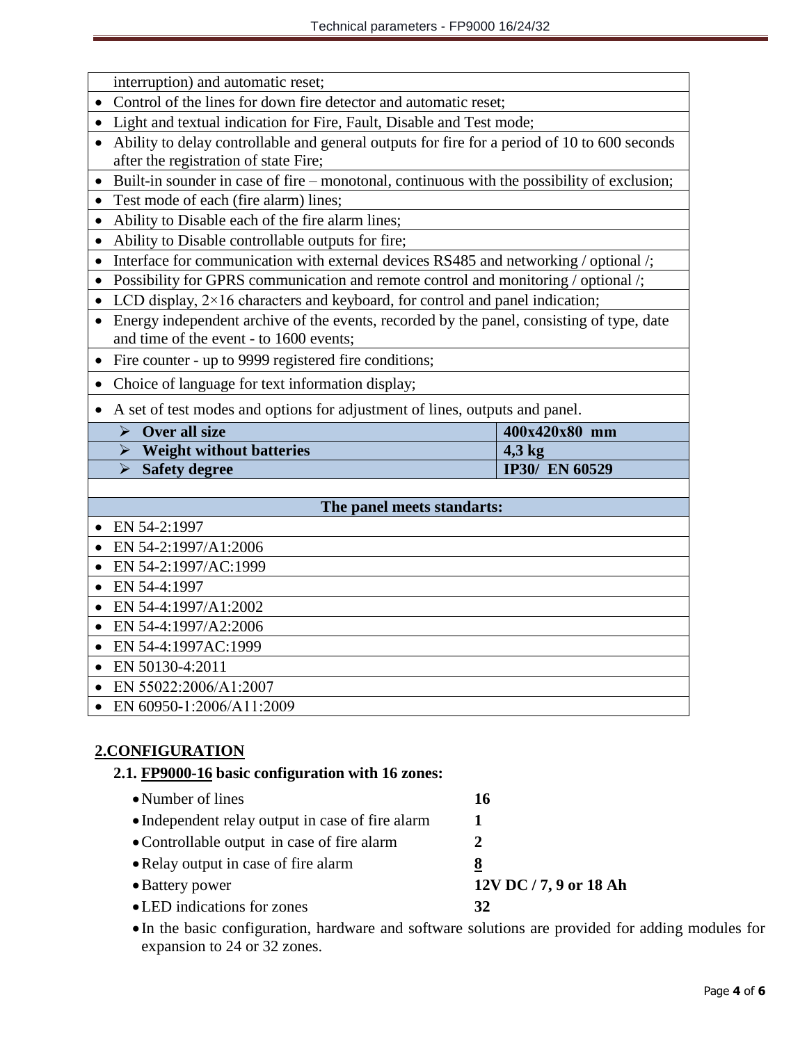interruption) and automatic reset;

- Control of the lines for down fire detector and automatic reset;
- Light and textual indication for Fire, Fault, Disable and Test mode;
- Ability to delay controllable and general outputs for fire for a period of 10 to 600 seconds after the registration of state Fire;
- Built-in sounder in case of fire monotonal, continuous with the possibility of exclusion;
- Test mode of each (fire alarm) lines;
- Ability to Disable each of the fire alarm lines;
- Ability to Disable controllable outputs for fire;
- Interface for communication with external devices RS485 and networking / optional /;
- Possibility for GPRS communication and remote control and monitoring / optional /;
- LCD display,  $2 \times 16$  characters and keyboard, for control and panel indication;
- Energy independent archive of the events, recorded by the panel, consisting of type, date and time of the event - to 1600 events;
- Fire counter up to 9999 registered fire conditions;
- Choice of language for text information display;
- A set of test modes and options for adjustment of lines, outputs and panel.

| Over all size                   | $400x420x80$ mm       |
|---------------------------------|-----------------------|
| <b>Weight without batteries</b> | $4.3 \text{ kg}$      |
| <b>Safety degree</b>            | <b>IP30/ EN 60529</b> |

#### **The panel meets standarts:**

- EN 54-2:1997
- EN 54-2:1997/A1:2006
- EN 54-2:1997/AC:1999
- EN 54-4:1997
- EN 54-4:1997/A1:2002
- EN 54-4:1997/A2:2006
- EN 54-4:1997AC:1999
- EN 50130-4:2011
- EN 55022:2006/А1:2007
- EN 60950-1:2006/А11:2009

### **2.CONFIGURATION**

### **2.1. FP9000-16 basic configuration with 16 zones:**

- Number of lines **16** • Independent relay output in case of fire alarm 1 Controllable output in case of fire alarm **2**  Relay output in case of fire alarm **8** Battery power **12V DC / 7, 9 or 18 Ah** LED indications for zones **32**
- In the basic configuration, hardware and software solutions are provided for adding modules for expansion to 24 or 32 zones.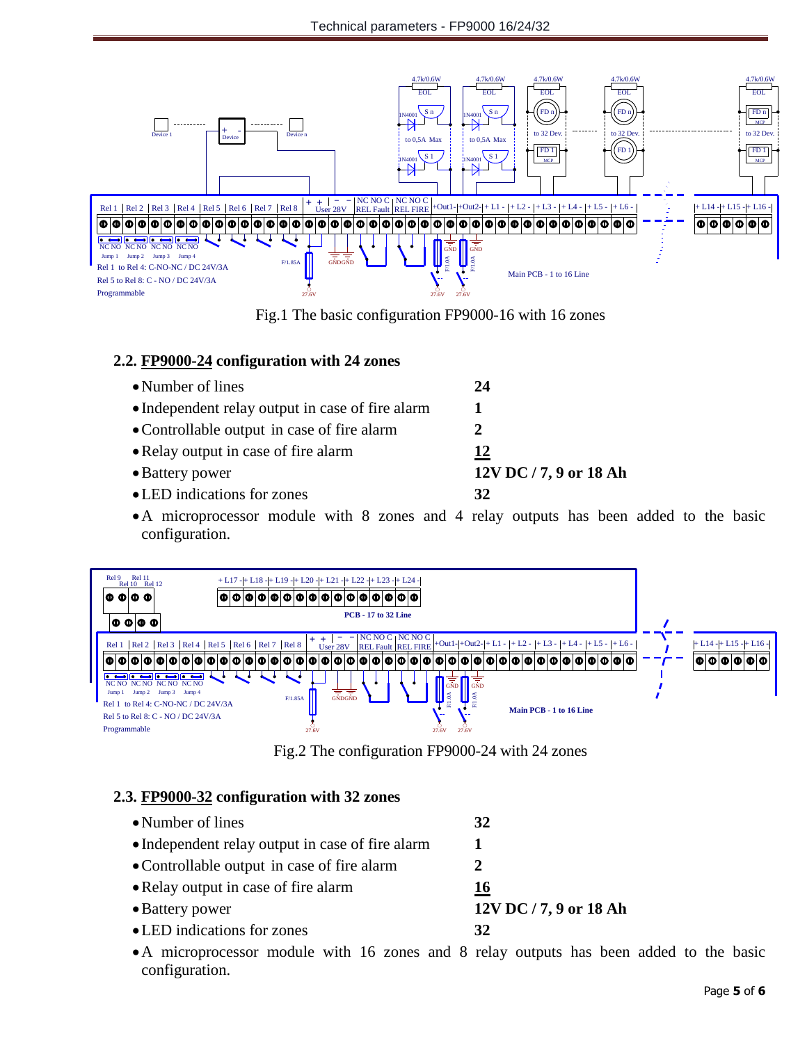

Fig.1 The basic configuration FP9000-16 with 16 zones

### **2.2. FP9000-24 configuration with 24 zones**

| • Number of lines                                | 24                     |
|--------------------------------------------------|------------------------|
| • Independent relay output in case of fire alarm |                        |
| • Controllable output in case of fire alarm      |                        |
| • Relay output in case of fire alarm             | 12                     |
| • Battery power                                  | 12V DC / 7, 9 or 18 Ah |
| • LED indications for zones                      | 32                     |

A microprocessor module with 8 zones and 4 relay outputs has been added to the basic configuration.



Fig.2 The configuration FP9000-24 with 24 zones

### **2.3. FP9000-32 configuration with 32 zones**

• Number of lines **32** • Independent relay output in case of fire alarm 1 Controllable output in case of fire alarm **2**  • Relay output in case of fire alarm **16** Battery power **12V DC / 7, 9 or 18 Ah** LED indications for zones **32**

A microprocessor module with 16 zones and 8 relay outputs has been added to the basic configuration.